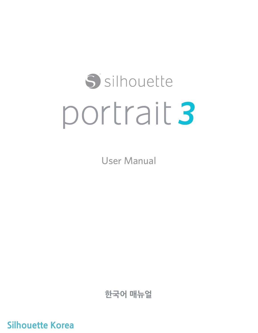# S silhouette portrait 3

User Manual

**한국어 매뉴얼**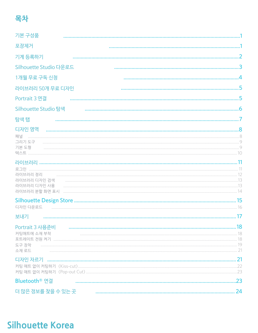# 목차

| 기본 구성품                                                     |     |
|------------------------------------------------------------|-----|
| 포장제거                                                       |     |
| 기계 등록하기                                                    |     |
| Silhouette Studio 다운로드                                     |     |
| 1개월 무료 구독 신청                                               |     |
| 라이브러리 50개 무료 디자인                                           |     |
| Portrait 3 연결                                              |     |
| Silhouette Studio 탐색                                       |     |
| 탐색 탭                                                       |     |
| 디자인 영역<br>패널<br>그리기 도구<br>기본 도형                            |     |
| 라이브러리 정리<br>라이브러리 디자인 검색<br>라이브러리 디자인 사용<br>라이브러리 분할 화면 표시 |     |
|                                                            |     |
| 보내기                                                        |     |
| Portrait 3 사용준비<br>커팅매트에 소재 부착<br>도구 장착<br>소재 로드           | .18 |
| 디자인 자르기                                                    |     |
| Bluetooth® 연결                                              | .23 |
| 더 많은 정보를 찾을 수 있는 곳                                         | 24  |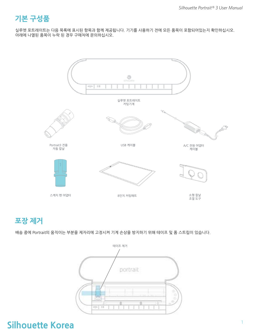# **What's in the Box? 기본 구성품**

실루엣 포트레이트는 다음 목록에 표시된 항목과 함께 제공됩니다. 기기를 사용하기 전에 모든 품목이 포함되어있는지 확인하십시오. 아래에 나열된 품목이 누락 된 경우 구매처에 문의하십시오.



#### **Remove Packaging from the Machine 포장 제거**

배송 중에 Portrait의 움직이는 부분을 제자리에 고정시켜 기계 손상을 방지하기 위해 테이프 및 폼 스트립이 있습니다.

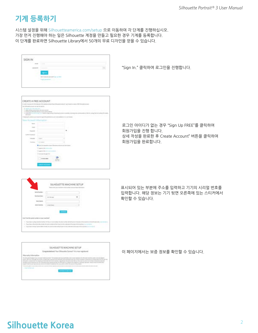# **Register Your Machine 기계 등록하기**

- 시스템 설정을 위해 Silhouetteamerica.com/setup 으로 이동하여 각 단계를 진행하십시오.
- 가장 먼저 진행해야 하는 일은 Silhouette 계정을 만들고 필요한 경우 기계를 등록합니다.
- 이 단계를 완료하면 Silhouette Library에서 50개의 무료 디자인을 얻을 수 있습니다.

| 953309 |  |
|--------|--|
|        |  |
|        |  |
|        |  |
|        |  |
|        |  |

"Sign In." 클릭하여 로그인을 진행합니다.

| a state in an ancora all of the                                                           | CREATE A FREE ACCOUNT                         |              |            |                           | Witnessell a related?" gay's want is contact of WT Shoulder at con- |                                                                   |  |
|-------------------------------------------------------------------------------------------|-----------------------------------------------|--------------|------------|---------------------------|---------------------------------------------------------------------|-------------------------------------------------------------------|--|
| ARTHUR ARTS AN ANGELE AND A RESIDENCE.                                                    |                                               |              | <b>ACT</b> | ٠<br>--                   |                                                                     |                                                                   |  |
| <b><i>Partial also Minutes</i></b><br>٠<br>Apply and ware of an or front cents your cars. | -                                             | <b>START</b> |            |                           |                                                                     |                                                                   |  |
|                                                                                           |                                               |              |            |                           |                                                                     |                                                                   |  |
| <b><i><u>DECEMBER</u></i></b><br>7 TO AUTO A ROLL OF                                      |                                               |              |            | <b>CALLED</b>             |                                                                     | <b>CALLER</b><br>to the first of the Property and the property of |  |
|                                                                                           |                                               |              |            | .<br>- 10                 |                                                                     |                                                                   |  |
|                                                                                           |                                               |              |            |                           |                                                                     |                                                                   |  |
|                                                                                           |                                               |              |            |                           |                                                                     |                                                                   |  |
|                                                                                           |                                               |              |            |                           |                                                                     |                                                                   |  |
|                                                                                           |                                               |              |            |                           |                                                                     |                                                                   |  |
|                                                                                           |                                               |              |            |                           |                                                                     |                                                                   |  |
| <b>STATISTICS</b>                                                                         | <b>STARTED</b>                                |              |            |                           |                                                                     |                                                                   |  |
| <b>Service</b>                                                                            |                                               |              |            |                           |                                                                     |                                                                   |  |
|                                                                                           | <b>STATISTICS</b>                             |              |            |                           |                                                                     |                                                                   |  |
| ٠                                                                                         | <b>BY AT YOU HAVE</b>                         | ---          |            | the goals sufficients and |                                                                     |                                                                   |  |
|                                                                                           | gow's life comments<br>against factors accou- |              |            |                           |                                                                     |                                                                   |  |
|                                                                                           | There was the age of the                      |              |            |                           |                                                                     |                                                                   |  |
|                                                                                           | 50 B.D<br>٦.                                  |              |            |                           |                                                                     |                                                                   |  |
|                                                                                           | <b>TOTAL A DOOR</b>                           |              |            |                           |                                                                     |                                                                   |  |

로그인 아이디가 없는 경우 "Sign Up FREE"를 클릭하여 회원가입을 진행 합니다. 상세 작성을 완료한 후 Create Account" 버튼을 클릭하여 회원가입을 완료합니다.

|                                              | ٠ |  |
|----------------------------------------------|---|--|
| DA SATU                                      |   |  |
| a 20 an is a commer de de la commercial y ch |   |  |

표시되어 있는 부분에 주소를 입력하고 기기의 시리얼 번호를 입력합니다. 해당 정보는 기기 뒷면 오른쪽에 있는 스티커에서 확인할 수 있습니다.

| THE REPORT OF THE REPORT OF THE REPORT OF THE REPORT OF THE REPORT OF THE REPORT OF THE REPORT OF THE REPORT OF |
|-----------------------------------------------------------------------------------------------------------------|
|                                                                                                                 |
| 'n.<br>$\mathcal{L}$                                                                                            |

이 페이지에서는 보증 정보를 확인할 수 있습니다.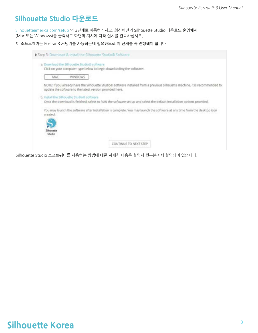## **Download and Install Silhouette Studio® Silhouette Studio 다운로드**

Silhouetteamerica.com/setup 의 3단계로 이동하십시오. 최신버전의 Silhouette Studio 다운로드 운영체제 (Mac 또는 Windows)를 클릭하고 화면의 지시에 따라 설치를 완료하십시오.

이 소프트웨어는 Portrait3 커팅기를 사용하는데 필요하므로 이 단계를 꼭 진행해야 합니다.

| Step 3: Download & Install the Slihouette Studio® Software                                                          |                                                                                                                              |
|---------------------------------------------------------------------------------------------------------------------|------------------------------------------------------------------------------------------------------------------------------|
| a. Download the Silhouette Studio® software<br>Click on your computer type below to begin downloading the software: |                                                                                                                              |
| <b>WINDOWS</b><br>MAC                                                                                               |                                                                                                                              |
| update the software to the latest version provided here.                                                            | NOTE: If you already have the Silhouette Studio® software installed from a previous Silhouette machine. It is recommended to |
| b. Install the Silhouette Studio® software                                                                          | Once the download is finished, select to RUN the software set up and select the default installation options provided.       |
| created:<br>Silhouette<br>Studio                                                                                    | You may launch the software after installation is complete. You may launch the software at any time from the desktop icon    |
|                                                                                                                     | CONTINUE TO NEXT STEP                                                                                                        |

Silhouette Studio 소프트웨어를 사용하는 방법에 대한 자세한 내용은 설명서 뒷부분에서 설명되어 있습니다.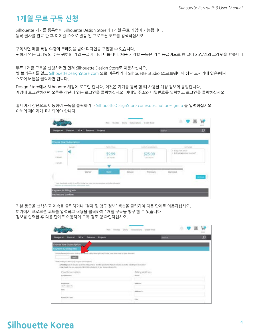# **Claim Your Free 1-Month Basic Subscription 1개월 무료 구독 신청**

Silhouette 기기를 등록하면 Silhouette Design Store에 1개월 무료 가입이 가능합니다. 등록 절차를 완료 한 후 이메일 주소로 발송 된 프로모션 코드를 검색하십시오.

구독하면 매월 특정 수량의 크레딧을 받아 디자인을 구입할 수 있습니다. 귀하가 얻는 크레딧의 수는 귀하의 가입 등급에 따라 다릅니다. 처음 시작할 구독은 기본 등급이므로 한 달에 25달러의 크레딧을 받습니다.

무료 1개월 구독을 신청하려면 먼저 Silhouette Design Store로 이동하십시오. 웹 브라우저를 열고 SilhouetteDesignStore.com 으로 이동하거나 Silhouette Studio (소프트웨어의 상단 모서리에 있음)에서 스토어 버튼을 클릭하면 됩니다.

Design Store에서 Silhouette 계정에 로그인 합니다. 이것은 기기를 등록 할 때 사용한 계정 정보와 동일합니다. 계정에 로그인하려면 오른쪽 상단에 있는 로그인을 클릭하십시오. 이메일 주소와 비밀번호를 입력하고 로그인을 클릭하십시오.

홈페이지 상단으로 이동하여 구독을 클릭하거나 SilhouetteDesignStore.com/subscription-signup 을 입력하십시오. 아래의 페이지가 표시되어야 합니다.

|                                      | Choose Your Subscription |                   | PLAIL PACE   |                        | Hollyo capital      |                                                                                                                                                                                                                                                                                                                                                                                                                                                                                                                                             | HERMIST |
|--------------------------------------|--------------------------|-------------------|--------------|------------------------|---------------------|---------------------------------------------------------------------------------------------------------------------------------------------------------------------------------------------------------------------------------------------------------------------------------------------------------------------------------------------------------------------------------------------------------------------------------------------------------------------------------------------------------------------------------------------|---------|
| <b>Senger</b><br>La Mount<br>4 March |                          | 39.99<br>A SEPREM |              | \$25.00<br>340 Port PA | x 10 in year, since | $\vdash \mathcal{R} \cup \mathcal{R} \Leftrightarrow \mathcal{R} \models \mathcal{R} \in \mathcal{R} \Leftrightarrow \mathcal{R} \models \mathcal{R} \models \mathcal{R} \in \mathcal{R} \Leftrightarrow \mathcal{R} \models \mathcal{R} \in \mathcal{R} \Leftrightarrow \mathcal{R} \models \mathcal{R} \in \mathcal{R} \Leftrightarrow \mathcal{R} \models \mathcal{R} \in \mathcal{R} \Leftrightarrow \mathcal{R} \models \mathcal{R} \in \mathcal{R} \Leftrightarrow \mathcal{R} \models \mathcal{R} \in \mathcal{R} \Leftrightarrow \$ |         |
| Lisbento                             |                          | Starter           | <b>Brick</b> | Deluxe                 | Premium             | Diamond.                                                                                                                                                                                                                                                                                                                                                                                                                                                                                                                                    |         |

기본 등급을 선택하고 계속을 클릭하거나 "결제 및 청구 정보" 섹션을 클릭하여 다음 단계로 이동하십시오. 여기에서 프로모션 코드를 입력하고 적용을 클릭하여 1개월 구독을 청구 할 수 있습니다. 정보를 입력한 후 다음 단계로 이동하여 구독 검토 및 확인하십시오.

|                                                                                                                                                                 |                   | Rex. Broiles Dark Selectytors Craft Frest |              | a. | <b>VB</b> | ₽ |  |
|-----------------------------------------------------------------------------------------------------------------------------------------------------------------|-------------------|-------------------------------------------|--------------|----|-----------|---|--|
| 33 W<br><b>Runts W</b><br>Designs V                                                                                                                             | Patterra Projecto |                                           | <b>Grand</b> |    |           | ٥ |  |
| Choose Your Subscription                                                                                                                                        |                   |                                           |              |    |           |   |  |
| Faynemt & Gilling Wils                                                                                                                                          |                   |                                           |              |    |           |   |  |
| De pourhave a grammon looke en argreposit outsignance gett carde lantar, enve solder for a for allowed.                                                         |                   |                                           |              |    |           |   |  |
| <b>County</b>                                                                                                                                                   |                   |                                           |              |    |           |   |  |
| How would you the to pay for your subsystem?<br>A Readbly 22-26 trouble 22-24 to relia; and 13 months payments of 22 32 knowing 21:30 to monthly or reliability |                   |                                           |              |    |           |   |  |
| L'Alg-Point, Francis Japanese di ECOLAY molulies ECOF fau Jedan and spris 776.                                                                                  |                   |                                           |              |    |           |   |  |
| Card Information                                                                                                                                                |                   | <b>Bling Address</b>                      |              |    |           |   |  |
| Card Busileec                                                                                                                                                   |                   | <b>Signal</b>                             |              |    |           |   |  |
|                                                                                                                                                                 |                   |                                           |              |    |           |   |  |
| Espination                                                                                                                                                      |                   | Address                                   |              |    |           |   |  |
| (0, 1, 2, 0, 1)<br>d'Afric                                                                                                                                      |                   |                                           |              |    |           |   |  |
| ---                                                                                                                                                             |                   | Abbasi (r.<br>Ľ.                          |              |    |           |   |  |
| Autos De Cordi.                                                                                                                                                 |                   |                                           |              |    |           |   |  |
|                                                                                                                                                                 |                   | thx                                       |              |    |           |   |  |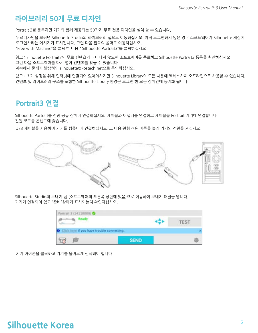## **Access the 50 Free Designs in Your Library 라이브러리 50개 무료 디자인**

Portrait 3를 등록하면 기기와 함께 제공되는 50가지 무료 전용 디자인을 설치 할 수 있습니다.

무료디자인을 보려면 Silhouette Studio의 라이브러리 탭으로 이동하십시오. 아직 로그인하지 않은 경우 소프트웨어가 Silhouette 계정에 로그인하라는 메시지가 표시됩니다. 그런 다음 왼쪽의 폴더로 이동하십시오. "Free with Machine"을 클릭 한 다음 " Silhouette Portrait3"를 클릭하십시오.

*NOTE: If the special free content for the Silhouette Portrait® 3 does not appear, please exit the software and confirm your*  참고 : Silhouette Portrait3의 무료 컨텐츠가 나타나지 않으면 소프트웨어를 종료하고 Silhouette Portrait3 등록을 확인하십시오. *registration of the Silhouette Portrait® 3. You may then reopen the software to locate the content. If continued concerns are*  그런 다음 소프트웨어를 다시 열어 컨텐츠를 찾을 수 있습니다.

*met, please contact support@silhouetteamerica.com*  계속해서 문제가 발생하면 silhouette@kostech.net으로 문의하십시오.

*NOTE: While you do need to be connected to the internet for initial setup, all content in the Silhouette Library can be accessed*  참고 : 초기 설정을 위해 인터넷에 연결되어 있어야하지만 Silhouette Library의 모든 내용에 액세스하여 오프라인으로 사용할 수 있습니다. *and used offline. The Silhouette Library experience, including content and library structure, is synced between all devices you*  컨텐츠 및 라이브러리 구조를 포함한 Silhouette Library 환경은 로그인 한 모든 장치간에 동기화 됩니다.

#### **Connect the Portrait 3 Portrait3 연결**

Silhouette Portrait를 전원 공급 장치에 연결하십시오. 케이블과 어댑터를 연결하고 케이블을 Portrait 기기에 연결합니다. 전원 코드를 콘센트에 꽂습니다.

USB 케이블을 사용하여 기기를 컴퓨터에 연결하십시오. 그 다음 원형 전원 버튼을 눌러 기기의 전원을 켜십시오.



Silhouette Studio의 보내기 탭 (소프트웨어의 오른쪽 상단에 있음)으로 이동하여 보내기 패널을 엽니다. 기기가 연결되어 있고 "준비"상태가 표시되는지 확인하십시오.

| Portrait 3 (14110000)                               |  |     |
|-----------------------------------------------------|--|-----|
|                                                     |  | EST |
| <b>O</b> Click here if you have trouble connecting. |  |     |
| ĮΦ                                                  |  | 嚼   |

기기 아이콘을 클릭하고 기기를 올바르게 선택해야 합니다.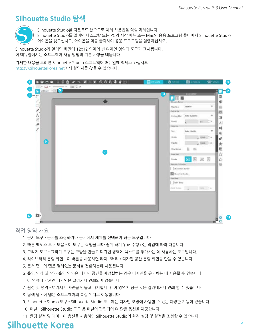## **Navigate Silhouette Studio® Silhouette Studio 탐색**



Silhouette Studio를 다운로드 했으므로 이제 사용법을 익힐 차례입니다. Silhouette Studio를 열려면 데스크탑 또는 PC의 시작 메뉴 또는 Mac의 응용 프로그램 폴더에서 Silhouette Studio 아이콘을 찾으십시오. 아이콘을 더블 클릭하여 응용 프로그램을 실행하십시오.

Silhouette Studio가 열리면 화면에 12x12 인치의 빈 디자인 영역과 도구가 표시됩니다. 이 매뉴얼에서는 소프트웨어 사용 방법의 기본 사항을 배웁니다.

*In this manual, you will learn the basics of how to use the software. If you would like to learn more, you can access the*  자세한 내용을 보려면 Silhouette Studio 소프트웨어 매뉴얼에 액세스 하십시오. *Silhouette Studio® software manual. You can find the manual on SilhouetteAmerica.com/setup under Step 6 or on*  https://silhouettekorea.net에서 설명서를 찾을 수 있습니다.



작업 영역 개요

- 1. 문서 도구 문서를 조정하거나 문서에서 개체를 선택해야 하는 도구입니다.
- 2. 빠른 액세스 도구 모음 이 도구는 작업을 보다 쉽게 하기 위해 수행하는 작업에 따라 다릅니다.
- 3. 그리기 도구 그리기 도구는 모양을 만들고 디자인 영역에 텍스트를 추가하는 데 사용하는 도구입니다.
- 4. 라이브러리 분할 화면 이 버튼을 사용하면 라이브러리 / 디자인 공간 분할 화면을 만들 수 있습니다.
- 5. 문서 탭 이 탭은 열려있는 문서를 전환하는데 사용됩니다.
- 6. 홀딩 영역 (회색) 홀딩 영역은 디자인 공간을 재정렬하는 경우 디자인을 유지하는 데 사용할 수 있습니다. 이 영역에 남겨진 디자인은 잘리거나 인쇄되지 않습니다.
- 7. 활성 컷 영역 여기서 디자인을 만들고 배치합니다. 이 영역에 남은 것은 잘라내거나 인쇄 할 수 있습니다.
- 8. 탐색 탭 이 탭은 소프트웨어의 특정 위치로 이동합니다.
- 9. Silhouette Studio 도구 Silhouette Studio 도구에는 디자인 조정에 사용할 수 있는 다양한 기능이 있습니다.
- 10. 패널 Silhouette Studio 도구 용 패널이 팝업되어 더 많은 옵션을 제공합니다.
- 11. 환경 설정 및 테마 이 옵션을 사용하면 Silhouette Studio의 환경 설정 및 설정을 조정할 수 있습니다.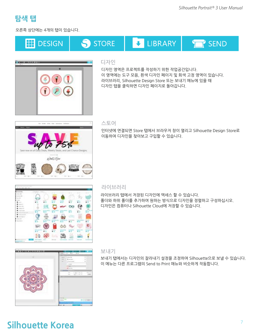

오른쪽 상단에는 4개의 탭이 있습니다.





#### 디자인

디자인 영역은 프로젝트를 작성하기 위한 작업공간입니다. 이 영역에는 도구 모음, 흰색 디자인 페이지 및 회색 고정 영역이 있습니다. 라이브러리, Silhouette Design Store 또는 보내기 메뉴에 있을 때 디자인 탭을 클릭하면 디자인 페이지로 돌아갑니다.



#### 스토어

인터넷에 연결되면 Store 탭에서 브라우저 창이 열리고 Silhouette Design Store로 이동하여 디자인을 찾아보고 구입할 수 있습니다.



#### Library 라이브러리

라이브러리 탭에서 저장된 디자인에 액세스 할 수 있습니다. 폴더와 하위 폴더를 추가하여 원하는 방식으로 디자인을 정렬하고 구성하십시오. 디자인은 컴퓨터나 Silhouette Cloud에 저장할 수 있습니다.



#### 보내기

보내기 탭에서는 디자인의 잘라내기 설정을 조정하여 Silhouette으로 보낼 수 있습니다. 이 메뉴는 다른 프로그램의 Send to Print 매뉴와 비슷하게 작동합니다.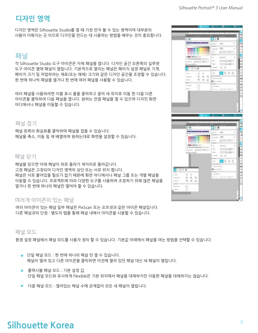# **Design Area 디자인 영역**

디자인 영역은 Silhouette Studio를 열 때 가장 먼저 볼 수 있는 영역이며 대부분의 사용이 이뤄지는 곳 이므로 디자인을 만드는 데 사용하는 방법을 배우는 것이 중요합니다.

#### 패널

각 Silhouette Studio 도구 아이콘은 자체 패널을 엽니다. 디자인 공간 오른쪽의 실루엣 도구 아이콘 옆에 패널이 열립니다. 기본적으로 열리는 패널은 페이지 설정 패널로 기계, 페이지 크기 및 작업하려는 재료(또는 매체) 크기와 같은 디자인 공간을 조정할 수 있습니다. 한 번에 하나씩 패널을 열거나 한 번에 여러 패널을 사용할 수 있습니다.

여러 패널을 사용하려면 이름 표시 줄을 클릭하고 끌어 새 위치로 이동 한 다음 다른 아이콘을 클릭하여 다음 패널을 엽니다. 원하는 만큼 패널을 열 수 있으며 디자인 화면 어디에서나 패널을 이동할 수 있습니다.

#### 패널 접기

패널 왼쪽의 화살표를 클릭하여 패널을 접을 수 있습니다. 패널을 축소, 이동 및 재 배열하여 원하는대로 화면을 설정할 수 있습니다.

#### 패널 닫기

패널을 닫으면 아래 패널이 위로 올라가 제자리로 돌아갑니다. 고정 패널은 고정되어 디자인 영역의 상단 또는 서로 위치 합니다. 패널은 서로 붙어있을 필요가 없기 때문에 화면 어디에서나 패널 그룹 또는 개별 패널을 이동할 수 있습니다. 프로젝트에 따라 다양한 도구를 사용하여 조정하기 위해 많은 패널을 열거나 한 번에 하나의 패널만 열어야 할 수 있습니다.

#### 여러개 아이콘이 있는 패널

여러 아이콘이 있는 패널 일부 패널은 PixScan 또는 오프셋과 같은 아이콘 패널입니다. 다른 패널과의 단점 : 별도의 탭을 통해 패널 내에서 아이콘을 사용할 수 있습니다.

#### 패널 모드

환경 설정 패널에서 패널 모드를 사용자 정의 할 수 있습니다. 기본값 아래에서 패널을 여는 방법을 선택할 수 있습니다.

- ▶ 단일 패널 모드 : 한 번에 하나의 패널 만 열 수 있습니다. 패널이 열려 있고 다른 아이콘을 클릭하면 이전에 열려 있던 패널 대신 새 패널이 열립니다.
- $\blacktriangleright$  플렉시블 패널 모드 : 기본 설정 값. 단일 패널 모드와 유사하게 Flexible은 기본 위치에서 패널을 대체하지만 이동한 패널을 대체하지는 않습니다.
- ▶ 다중 패널 모드 : 열려있는 패널 수에 관계없이 모든 새 패널이 열립니다.

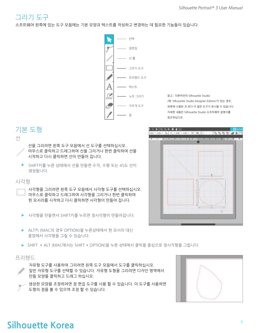

소프트웨어 왼쪽에 있는 도구 모음에는 기본 모양과 텍스트를 작성하고 변경하는 데 필요한 기능들이 있습니다.



*Note: If you have other editions of Silhouette*  참고 : 다른버전의 Silhouette Studio *Studio® (e.g. Silhouette Studio® Designer Edition),*  (예: Silhouette Studio Designer Edition)가 있는 경우, *you may see more drawing tools than you see*  좌측에 나열된 것 보다 더 많은 도구가 표시될 수 있습니다. *listed here. You can learn more about those tools*  자세한 내용은 Silhouette Studio 소프트웨어 설명서를 *in the Silhouette Studio® software manual.* 참조하십시오.

## 기본 도형



선을 그리려면 왼쪽 도구 모음에서 선 도구를 선택하십시오. 마우스로 클릭하고 드래그하여 선을 그리거나 한번 클릭하여 선을 시작하고 다시 클릭하면 선이 만들어 집니다.

▶ SHIFT키를 누른 상태에서 선을 만들면 수직, 수평 또는 45도 선이 생성됩니다.

#### 사각형

사각형을 그리려면 왼쪽 도구 모음에서 사각형 도구를 선택하십시오. 마우스로 클릭하고 드래그하여 사각형을 그리거나 한번 클릭하여 한 모서리를 시작하고 다시 클릭하면 사각형이 만들어 집니다.

- ▶ 사각형을 만들면서 SHIFT키를 누르면 정사각형이 만들어집니다.
- ▶ ALT키 (MAC의 경우 OPTION)을 누른상태에서 한 모서리 대신 중앙에서 사각형을 그릴 수 있습니다.
- ▶ SHIFT +ALT (MAC에서는 SHIFT + OPTION)을 누른 상태에서 클릭을 중심으로 정사각형을 그립니다.

#### 프리핸드

- 자유형 도구를 사용하여 그리려면 왼쪽 도구 모음에서 도구를 클릭하십시오. 일반 자유형 도구를 선택할 수 있습니다. 자유형 도형을 그리려면 디자인 영역에서 만들 모양을 클릭하고 드래그 하십시오.
- 생성한 모양을 조정하려면 점 편집 도구를 사용 할 수 있습니다. 이 도구를 사용하면 도형의 점을 볼 수 있으며 조정 할 수 있습니다.



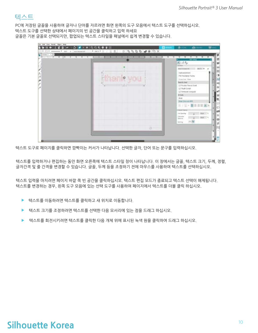

PC에 저장된 글꼴을 사용하여 글자나 단어를 자르려면 화면 왼쪽의 도구 모음에서 텍스트 도구를 선택하십시오. 텍스트 도구를 선택한 상태에서 페이지의 빈 공간을 클릭하고 입력 하세요 글꼴은 기본 글꼴로 선택되지만, 팝업되는 텍스트 스타일을 패널에서 쉽게 변경할 수 있습니다.



텍스트 도구로 페이지를 클릭하면 깜빡이는 커서가 나타납니다. 선택한 글자, 단어 또는 문구를 입력하십시오.

텍스트를 입력하거나 편집하는 동안 화면 오른쪽에 텍스트 스타일 창이 나타납니다. 이 창에서는 글꼴, 텍스트 크기, 두께, 정렬, 글자간격 및 줄 간격을 변경할 수 있습니다. 글꼴, 두께 등을 조정하기 전에 마우스를 사용하여 텍스트를 선택하십시오.

텍스트 입력을 마치려면 페이지 바깥 쪽 빈 공간을 클릭하십시오. 텍스트 편집 모드가 종료되고 텍스트 선택이 해제됩니다. 텍스트를 변경하는 경우, 왼쪽 도구 모음에 있는 선택 도구를 사용하여 페이지에서 텍스트를 더블 클릭 하십시오.

- ▶ 텍스트를 이동하려면 텍스트를 클릭하고 새 위치로 이동합니다.
- ▶ \_ 텍스트 크기를 조정하려면 텍스트를 선택한 다음 모서리에 있는 점을 드래그 하십시오.
- ▶ \_ 텍스트를 회전시키려면 텍스트를 클릭한 다음 개체 위에 표시된 녹색 원을 클릭하여 드래그 하십시오.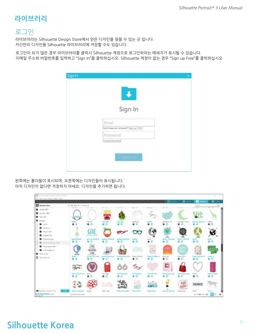## **Library 라이브러리**

#### 로그인

라이브러리는 Silhouette Design Store에서 얻은 디자인을 찾을 수 있는 곳 입니다. 자신만의 디자인을 Silhouette 라이브러리에 저장할 수도 있습니다.

로그인이 되지 않은 경우 라이브러리를 클릭시 Silhouette 계정으로 로그인하라는 메세지가 표시될 수 있습니다. 이메일 주소와 비밀번호를 입력하고 "Sign In"을 클릭하십시오. Silhouette 계정이 없는 경우 "Sign up Free"를 클릭하십시오

| Sign In                             |  |
|-------------------------------------|--|
|                                     |  |
| Email                               |  |
| Don't have an account? Sign up FRFF |  |
| Password                            |  |
| Emast.posteroid                     |  |
|                                     |  |
|                                     |  |
| <b>SHAN IN</b>                      |  |

왼쪽에는 폴더들이 표시되며, 오른쪽에는 디자인들이 표시됩니다. 아직 디자인이 없다면 걱정하지 마세요. 디자인을 추가하면 됩니다.

| <b>EXP</b> Alexandra Raws                                                                                | a bis boot at thereby a             |                                                   |                                 |                              |                                        |                                | and .                                | ۰                             | $\blacksquare$<br><b>Septima</b>                      | w<br>$\overline{a}$ |
|----------------------------------------------------------------------------------------------------------|-------------------------------------|---------------------------------------------------|---------------------------------|------------------------------|----------------------------------------|--------------------------------|--------------------------------------|-------------------------------|-------------------------------------------------------|---------------------|
| B Atlantic<br>Total University of the 1-<br>The Association<br><b>B</b> began                            | <b>Harry</b>                        | Earne 1                                           | --                              |                              | politic trust                          |                                | poment (d)                           | perimeters restored           | $\sim$<br>29199<br><b>TIEFTI</b><br>gat your grain in | profit              |
| ■ 30 Hz<br>To about 6 to<br>Tayan M -<br>The Payment Street                                              | 青原                                  | ۰<br><b>MOTHERS</b>                               |                                 | Fing Inc                     | ٠                                      |                                |                                      |                               |                                                       |                     |
| <b>B</b> Inquiricities<br>Arient Courts art, 2001<br>The State Internet DE 1<br><b>M</b> Liter Incopy of | givern stand<br>3                   | gant your tenants of<br>Will Belle Calls<br>where | process at paying               | gluence reporting            | green<br>Æ                             | 光柱光                            | gradual from nearch.                 | plate thes off<br>            | grams                                                 |                     |
| <b>B</b> Fallery (B)<br>B bearing for St 1.                                                              | state 9 Danie<br>China-             | an Arts But                                       | poor chas as                    | <b>bundhed Swg one</b><br>青田 | <b>President Sections</b>              | news between 1<br>* *          | Septem 1974<br>с<br><b>Service</b>   | <b>Talytti Isail</b>          | lagg antar<br># @                                     |                     |
|                                                                                                          | <b>Rent &amp; man of city</b><br>青田 | <b>Daniel</b>                                     | <b>Target Seas</b><br>★⊙<br>ul. | <b>Send per</b><br>新田<br>www | <b>Search glosses</b><br>vΘ<br>Иb<br>M | basil all them<br>ÆР<br>hellow | <b>Search an age of parties</b><br>œ | <b>David Steak parks</b><br>æ | baught.<br>∙<br>HOME                                  | $\frac{1}{2}$       |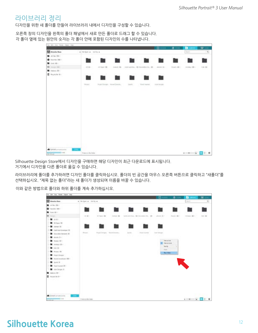#### 라이브러리 정리

디자인을 위한 새 폴더를 만들어 라이브러리 내에서 디자인을 구성할 수 있습니다.

오른쪽 창의 디자인을 왼쪽의 폴더 패널에서 새로 만든 폴더로 드래그 할 수 있습니다. 각 폴더 옆에 있는 원안의 숫자는 각 폴더 안에 포함된 디자인의 수를 나타냅니다.

| The \$45, tion. Farant cities! (Help                               |                                                  |                            |                               |                |                                                      |                        | a                         | о                              | $\mathbf{w}$ inc |
|--------------------------------------------------------------------|--------------------------------------------------|----------------------------|-------------------------------|----------------|------------------------------------------------------|------------------------|---------------------------|--------------------------------|------------------|
| <b>M</b> Alvesto Rate                                              | $\bullet$ (He have $\bullet$ - had for $\bullet$ |                            |                               |                |                                                      |                        |                           | <b>Text</b>                    | $\alpha$         |
| ALCOHOL: YES<br><b>Basebac (881)</b><br><b>B</b> Jun Str.          |                                                  | or ma                      |                               |                |                                                      |                        |                           |                                |                  |
| El monte                                                           | 22.00<br><b>STEERS</b>                           | JE Face-198<br>o e<br>70 H | and the state of the state of |                | 249-91-92 - (303-9374), SI-34-959-14, SI-1, Hook B - | 4-4032-110             | <b>There</b> is a project | <b>HELBURY ISSUE</b><br>91 H.H | 1181.00          |
| R Fotosa SE                                                        |                                                  | $-2 - 11$                  |                               |                |                                                      |                        |                           |                                |                  |
| <b>B</b> August the Will                                           |                                                  |                            |                               |                |                                                      |                        |                           |                                |                  |
|                                                                    | Firmer<br><b>Service</b>                         |                            | Imped Dengto - Heard Download | <b>Service</b> | front maint.                                         | <b>Solar Division:</b> |                           |                                |                  |
|                                                                    |                                                  |                            |                               |                |                                                      |                        |                           |                                |                  |
|                                                                    |                                                  |                            |                               |                |                                                      |                        |                           |                                |                  |
|                                                                    |                                                  |                            |                               |                |                                                      |                        |                           |                                |                  |
| 부사 가까우<br><b>A</b> Seterd amongstore<br>$-0.114$<br><b>Long on</b> | Thota and a<br>Tragers in the later              |                            |                               |                |                                                      |                        |                           | $        -$                    |                  |

Silhouette Design Store에서 디자인을 구매하면 해당 디자인이 최근 다운로드에 표시됩니다. 거기에서 디자인을 다른 폴더로 옮길 수 있습니다.

라이브러리에 폴더를 추가하려면 디자인 폴더를 클릭하십시오. 폴더의 빈 공간을 마우스 오른쪽 버튼으로 클릭하고 "새폴더"를 선택하십시오. "제목 없는 폴더"라는 새 폴더가 생성되며 이름을 바꿀 수 있습니다.

이와 같은 방법으로 폴더와 하위 폴더를 계속 추가하십시오.

| Ite life Ins Pent Gare tax             |                            |                                           |                                  |                         |                                        |              |                                        |                                                                 |               |
|----------------------------------------|----------------------------|-------------------------------------------|----------------------------------|-------------------------|----------------------------------------|--------------|----------------------------------------|-----------------------------------------------------------------|---------------|
|                                        |                            |                                           |                                  |                         |                                        |              | 0.11                                   | <b>D</b> (MAR)                                                  | w.            |
| <b>El Abenda Bass</b>                  | a literature, a looking a  |                                           |                                  |                         |                                        |              |                                        | <b>Seco</b>                                                     | $\frac{1}{2}$ |
| <b>M</b> Atlanta (M) +                 |                            |                                           |                                  |                         |                                        |              |                                        |                                                                 |               |
| The face in 1990                       |                            |                                           |                                  |                         |                                        |              |                                        |                                                                 |               |
| <b>B</b> forces                        |                            |                                           |                                  |                         |                                        |              |                                        |                                                                 |               |
| <b>B</b><br>Person L                   | 31.804                     | STAGE-18                                  | Antique, 480                     |                         | Link art that  \$\$ Shorater Fa.  \$9. | stores de l' | Standis Mil-                           | motion and a                                                    | $-1.45$       |
| .                                      | <b>CONTRACT</b>            | <b>TANKS</b>                              |                                  | <b>STAR</b>             |                                        |              |                                        |                                                                 |               |
| 1 th Face 19                           |                            |                                           |                                  |                         |                                        |              |                                        |                                                                 |               |
| <b>B</b> const (E)<br>an a             |                            |                                           |                                  |                         |                                        |              |                                        |                                                                 |               |
| - Cardi and boompad 101                | <b>STORY OF</b>            |                                           | Project Energies Hannon Economy. |                         |                                        |              |                                        |                                                                 |               |
| <b>Exception Harnards III</b><br>▬     |                            | <b>Communication of the Communication</b> |                                  | Speeds.<br><b>PLATE</b> | <b>Robert Australia</b><br>an Col      | State Amount |                                        |                                                                 |               |
| $\blacksquare$ where $\blacksquare$    |                            |                                           |                                  |                         |                                        |              |                                        |                                                                 |               |
| The Parents Blvd.                      |                            |                                           |                                  |                         |                                        |              | <b>San artist</b><br><b>Tay alters</b> |                                                                 |               |
| Constant STY                           |                            |                                           |                                  |                         |                                        | last by      | ٠                                      |                                                                 |               |
| <b>B</b> can be                        |                            |                                           |                                  |                         |                                        | Palati i     |                                        |                                                                 |               |
| <b>M</b> Primer Oh                     |                            |                                           |                                  |                         |                                        |              | <b>No Polar</b>                        |                                                                 |               |
| To based (respect                      |                            |                                           |                                  |                         |                                        |              |                                        |                                                                 |               |
| <b>EX PRIVATE Diversionals (ESE 1)</b> |                            |                                           |                                  |                         |                                        |              |                                        |                                                                 |               |
| <b>M</b> (pure) 18                     |                            |                                           |                                  |                         |                                        |              |                                        |                                                                 |               |
| The based towns (25 x                  |                            |                                           |                                  |                         |                                        |              |                                        |                                                                 |               |
| <b>B</b> the Delpt R                   |                            |                                           |                                  |                         |                                        |              |                                        |                                                                 |               |
| <b>B</b> Advis (81.1)                  |                            |                                           |                                  |                         |                                        |              |                                        |                                                                 |               |
| $\blacksquare$ . Another fire the $-$  |                            |                                           |                                  |                         |                                        |              |                                        |                                                                 |               |
| TAN PRE<br>A latest projections.       |                            |                                           |                                  |                         |                                        |              |                                        |                                                                 |               |
| $\frac{1}{2}$                          | 21 months of the Antalysis |                                           |                                  |                         |                                        |              |                                        | $1 - 2$ $\frac{1}{2}$ $\frac{1}{2}$ $\frac{1}{2}$ $\frac{1}{2}$ |               |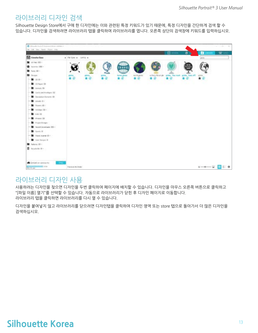#### 라이브러리 디자인 검색

Silhouette Design Store에서 구매 한 디자인에는 이와 관련된 특정 키워드가 있기 때문에, 특정 디자인을 간단하게 검색 할 수 있습니다. 디자인을 검색하려면 라이브러리 탭을 클릭하여 라이브러리를 엽니다. 오른쪽 상단의 검색창에 키워드를 입력하십시오.

| @ tok suite (budg) 4 king over \$100 on Lighting 3<br>For Life Sens Away, Should trade                                                                                                                                                                                                                                      |                         |  |                                |                    |    |                                        |   |               | · 七、青、三 美               |
|-----------------------------------------------------------------------------------------------------------------------------------------------------------------------------------------------------------------------------------------------------------------------------------------------------------------------------|-------------------------|--|--------------------------------|--------------------|----|----------------------------------------|---|---------------|-------------------------|
| Alexshe Bass                                                                                                                                                                                                                                                                                                                | . Henny . total .       |  |                                |                    |    | <b>ET DESKIN</b>                       | a | о<br>pose     | $\overline{\mathbf{z}}$ |
| To an max (60)<br>The Associate UNI -<br>The Form (MD +<br><b>B</b> Overall<br>■ 10 米 -<br><b>B</b> (O Rain 19)<br><b>B</b> Aimyle St<br>Carticand travelgary (12)<br><b>B</b> bicador Determ 39<br><b>M</b> environment<br>Tiney (1) -<br><b>Contract State</b><br><b>M</b> Ark 10<br><b>B</b> Printed OK<br>Tropic Druges | 音田                      |  | towed glate<br>$\star$ $\circ$ | world plater<br>食业 | 青田 | or furnit fisted glo grides - the mark |   |               |                         |
| tion of Doveloped Inter-<br><b>B</b> South R<br>Travel Humal 23 -<br><b>De Grief Freigen III</b><br>Adam ID -<br>Friede Bill II -<br>a hearthca<br>Syncol available<br><b>Channel</b><br>$= 1016$<br><b>STORIES</b>                                                                                                         | <b>Dismite Big Gold</b> |  |                                |                    |    |                                        |   | $ -2$ $+$ $-$ |                         |

#### 라이브러리 디자인 사용

사용하려는 디자인을 찾으면 디자인을 두번 클릭하여 페이지에 배치할 수 있습니다. 디자인을 마우스 오른쪽 버튼으로 클릭하고 "[파일 이름] 열기"를 선택할 수 있습니다. 자동으로 라이브러리가 닫힌 후 디자인 페이지로 이동합니다. 라이브러리 탭을 클릭하면 라이브러리를 다시 열 수 있습니다.

디자인을 붙여넣지 않고 라이브러리를 닫으려면 디자인탭을 클릭하여 디자인 영역 또는 store 탭으로 돌아가서 더 많은 디자인을 검색하십시오.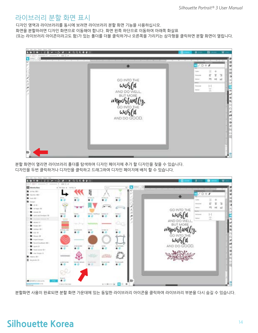#### 라이브러리 분할 화면 표시

디자인 영역과 라이브러리를 동시에 보려면 라이브러리 분할 화면 기능을 사용하십시오. 화면을 분할하려면 디자인 화면으로 이동해야 합니다. 화면 왼쪽 하단으로 이동하여 아래쪽 화살표 (또는 라이브러리 아이콘이라고도 함)가 있는 폴더를 더블 클릭하거나 오른쪽을 가리키는 삼각형을 클릭하면 분할 화면이 열립니다.



분할 화면이 열리면 라이브러리 폴더를 탐색하여 디자인 페이지에 추가 할 디자인을 찾을 수 있습니다. 디자인을 두번 클릭하거나 디자인을 클릭하고 드래그하여 디자인 페이지에 배치 할 수 있습니다.



분할화면 사용이 완료되면 분할 화면 가운데에 있는 동일한 라이브러리 아이콘을 클릭하여 라이브러리 부분을 다시 숨길 수 있습니다.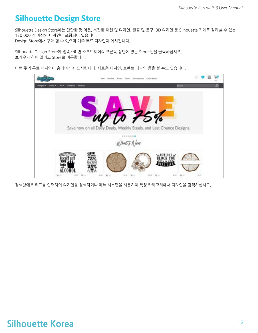## **Silhouette Design Store**

Silhouette Design Store에는 간단한 컷 아웃, 복잡한 패턴 및 디자인, 글꼴 및 문구, 3D 디자인 등 Silhouette 기계로 잘라낼 수 있는 170,000 개 이상의 디자인이 포함되어 있습니다. Design Store에서 구매 할 수 있으며 매주 무료 디자인이 게시됩니다.

Silhouette Design Store에 접속하려면 소프트웨어의 오른쪽 상단에 있는 Store 탭을 클릭하십시오. simouette Design Store에 답극이더한 포프트웨어의<br>브라우저 창이 열리고 Store로 이동합니다.

이번 주의 무료 디자인이 홈페이지에 표시됩니다. 새로운 디자인, 트렌트 디자인 등을 볼 수도 있습니다.



검색창에 키워드를 입력하여 디자인을 검색하거나 메뉴 시스템을 사용하여 특정 카테고리에서 디자인을 검색하십시오.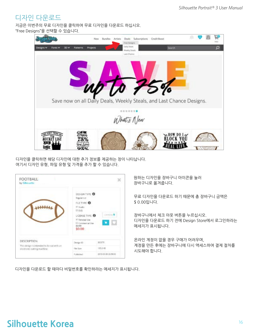#### 디자인 다운로드

지금은 이번주의 무료 디자인을 클릭하여 무료 디자인을 다운로드 하십시오. "Free Designs"을 선택할 수 있습니다.



디자인을 클릭하면 해당 디자인에 대한 추가 정보를 제공하는 창이 나타납니다. 여기서 디자인 유형, 파일 유형 및 가격을 추가 할 수 있습니다.

| FOOTBALL<br>٦<br>by Silhourth                            |                                                                                                                                           |                 |
|----------------------------------------------------------|-------------------------------------------------------------------------------------------------------------------------------------------|-----------------|
|                                                          | DESIGN TYPE O<br>Topdar zut<br>FLETYPE O<br>HR Studio<br>0.946<br>LICENSE TYPE<br>IF Fernonal Use<br>El Commercial Use<br>60.69<br>\$0.00 | <b>LEPRITAS</b> |
| DESCRIPTION<br>This design is intended to be cut with an | Design ID                                                                                                                                 | BOORTH          |
|                                                          | Fide Size                                                                                                                                 | 105.3 KB        |
| instructs cutting machine.                               |                                                                                                                                           |                 |

원하는 디자인을 장바구니 아이콘을 눌러 장바구니로 옮겨줍니다.

.<br>무료 디자인을 다운로드 하기 때문에 총 장바구니 금액은  $$0.00$ 입니다.

장바구니에서 체크 아웃 버튼을 누르십시오. 디자인을 다운로드 하기 전에 Design Store에서 로그인하라는 메세지가 표시됩니다.

온라인 계정이 없을 경우 구매가 어려우며, 계정을 만든 후에는 장바구니에 다시 액세스하여 결제 절차를 시도해야 합니다.

디자인을 다운로드 할 때마다 비밀번호를 확인하라는 메세지가 표시됩니다.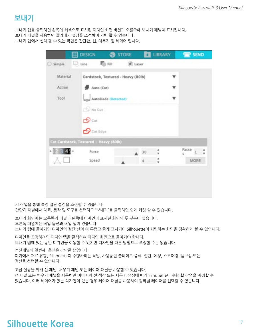## **Send Panel 보내기**

보내기 탭을 클릭하면 왼쪽에 회색으로 표시된 디자인 화면 버전과 오른쪽에 보내기 패널이 표시됩니다.

보내기 패널을 사용하면 잘라내기 설정을 조정하여 커팅 할 수 있습니다.

보내기 탭에서 선택 할 수 있는 작업은 간단한, 선, 채우기 및 레이어 입니다.

|             | 圓 | <b>DESIGN</b>                          | <b>S</b> STORE                     |       | <b>LIBRARY</b> | <b>SEND</b>         |
|-------------|---|----------------------------------------|------------------------------------|-------|----------------|---------------------|
| Simple<br>o |   | (C) Line                               | <b>C</b> Fill                      | Layer |                |                     |
| Material    |   |                                        | Cardstock, Textured - Heavy (80lb) |       |                |                     |
| Action      |   | Auto (Cut)                             |                                    |       |                |                     |
| Tool        |   |                                        | AutoBlade (Detected)               |       |                |                     |
|             |   | $\neg$ No Cut                          |                                    |       |                |                     |
|             |   | $\bigoplus$ Cut                        |                                    |       |                |                     |
|             |   |                                        |                                    |       |                |                     |
|             |   | $\mathbf{\Theta}$ Cut Edge             |                                    |       |                |                     |
|             |   | Cut Cardstock, Textured - Heavy (80lb) |                                    |       |                |                     |
|             |   | Force                                  |                                    | 30    | ۸              | Passe $1$<br>A<br>5 |

각 작업을 통해 특정 절단 설정을 조정할 수 있습니다. 간단히 패널에서 재료, 동작 및 도구를 선택하고 "보내기"를 클릭하면 쉽게 커팅 할 수 있습니다.

보내기 화면에는 오른쪽의 패널과 왼쪽에 디자인이 표시된 화면의 두 부분이 있습니다. 오른쪽 패널에는 작업 옵션과 작업 탭이 있습니다. 보내기 탭에 들어가면 디자인의 절단 선이 더 두껍고 굵게 표시되어 Silhouette이 커팅하는 화면을 정확하게 볼 수 있습니다.

디자인을 조정하려면 디자인 탭을 클릭하여 디자인 화면으로 돌아가야 합니다. 보내기 탭에 있는 동안 디자인을 이동할 수 있지만 디자인을 다른 방법으로 조정할 수는 없습니다.

액션패널의 첫번째 옵션은 간단한 탭입니다. This is where you can select the material type, the action you can select the material type, the action you can select the action you can select the material type, the action you can select the mat 여기에서 재료 유형, Silhouette이 수행하려는 작업, 사용중인 블레이드 종류, 절단, 에칭, 스코어링, 엠보싱 또는

점선을 선택할 수 있습니다.

고급 설정을 위해 선 패널, 채우기 패널 또는 레이어 패널을 사용할 수 있습니다. 선 패널 또는 채우기 패널을 사용하면 이미지의 선 색상 또는 채우기 색상에 따라 Silhouette이 수행 할 작업을 지정할 수 있습니다. 여러 레이어가 있는 디자인이 있는 경우 레이어 패널을 사용하여 잘라낼 레이어를 선택할 수 있습니다.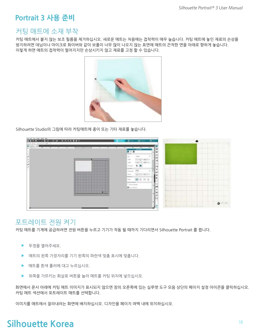## **Prepare the Portrait 3 Portrait 3 사용 준비**

#### 커팅 매트에 소재 부착

커팅 매트에서 붙지 않는 보조 필름을 제거하십시오. 새로운 매트는 처음에는 접착력이 매우 높습니다. 커팅 매트에 놓인 재료의 손상을 방지하려면 데님이나 마이크로 화이버와 같이 보풀이 너무 많이 나오지 않는 표면에 매트의 끈적한 면을 아래로 향하게 놓습니다. 이렇게 하면 매트의 접착력이 떨어지지만 손상시키지 않고 재료를 고정 할 수 있습니다.



Silhouette Studio의 그림에 따라 커팅매트에 종이 또는 기타 재료를 놓습니다.



#### 포트레이트 전원 켜기

커팅 매트를 기계에 공급하려면 전원 버튼을 누르고 기기가 작동 될 때까지 기다리면서 Silhouette Portrait 를 켭니다.

- $\blacktriangleright$  뚜껑을 열어주세요.
- ▶ 매트의 왼쪽 가장자리를 기기 왼쪽의 파란색 맞춤 표시에 맞춥니다.
- ▶ 매트를 흰색 롤러에 대고 누르십시오.
- ▶ 위쪽을 가르키는 화살표 버튼을 눌러 매트를 커팅 위치에 넣으십시오.

화면에서 문서 아래에 커팅 매트 이미지가 표시되지 않으면 창의 오른쪽에 있는 실루엣 도구 모음 상단의 페이지 설정 아이콘을 클릭하십시오. 커팅 매트 섹션에서 포트레이트 매트를 선택합니다.

Position your image on the screen where you want it to cut on the mat. Be sure to keep your design within the red 이미지를 매트에서 잘라내려는 화면에 배치하십시오. 디자인을 페이지 여백 내에 위치하십시오.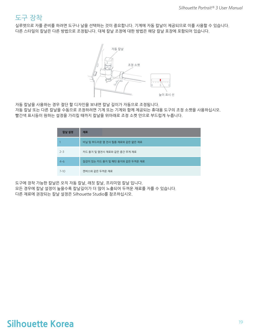#### 도구 장착

실루엣으로 자를 준비를 하려면 도구나 날을 선택하는 것이 중요합니다. 기계에 자동 칼날이 제공되므로 이를 사용할 수 있습니다. 다른 스타일의 칼날은 다른 방법으로 조정됩니다. 대체 칼날 조정에 대한 방법은 해당 칼날 포장에 포함되어 있습니다.



자동 칼날을 사용하는 경우 절단 할 디자인을 보내면 칼날 길이가 자동으로 조정됩니다. 자동 칼날 또는 다른 칼날을 수동으로 조정하려면 기계 또는 기계와 함께 제공되는 휴대용 도구의 조정 소켓을 사용하십시오. 빨간색 표시등이 원하는 설정을 가리킬 때까지 칼날을 위아래로 조정 소켓 안으로 부드럽게 누릅니다.

| 칼날 설정    | 재료                              |
|----------|---------------------------------|
|          | 비닐 및 부드러운 열 전사 필름 재료와 같은 얇은 재료  |
| $2 - 3$  | 카드 용지 및 열전사 재료와 같은 중간 무게 재료     |
| $4 - 6$  | 질감이 있는 카드 용지 및 패턴 용지와 같은 두꺼운 재료 |
| $7 - 10$ | 캔버스와 같은 두꺼운 재료                  |

도구에 장착 가능한 칼날은 오직 자동 칼날, 래칫 칼날, 프리미엄 칼날 입니다. 모든 경우에 칼날 설정이 높을수록 칼날길이가 더 많이 노출되어 두꺼운 재료를 자를 수 있습니다. 다른 재료에 권장되는 칼날 설정은 Silhouette Studio를 참조하십시오.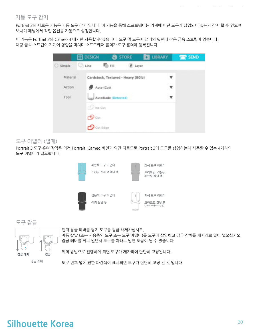#### 자동 도구 감지

Portrait 3의 새로운 기능은 자동 도구 감지 입니다. 이 기능을 통해 소프트웨어는 기계에 어떤 도구가 삽입되어 있는지 감지 할 수 있으며 보내기 패널에서 작업 옵션을 자동으로 설정합니다.

이 기능은 Portrait 3와 Cameo 4 에서만 사용할 수 있습니다. 도구 및 도구 어댑터의 뒷면에 작은 금속 스트립이 있습니다. 해당 금속 스트립이 기계에 영향을 미치며 소프트웨어 홀더가 도구 홀더에 등록됩니다.



#### 도구 어댑터 (별매)

Portrait 3 도구 홀더 장착은 이전 Portrait, Cameo 버전과 약간 다르므로 Portrait 3에 도구를 삽입하는데 사용할 수 있는 4가지의 these tool adapters that you can use to insert tools into the Portrait 3: 도구 어댑터가 필요합니다.







먼저 잠금 레버를 당겨 도구를 잠금 해제하십시오.

자동 칼날 (또는 사용중인 도구 또는 도구 어댑터)를 도구에 삽입하고 잠금 장치를 제자리로 밀어 넣으십시오. 잠금 레버를 뒤로 밀면서 도구를 아래로 밀면 도움이 될 수 있습니다.

위의 방법으로 진행하게 되면 도구가 제자리에 단단히 고정됩니다.

<sup>감금 레버</sup>

도구 번호 옆에 진한 파란색이 표시되면 도구가 단단히 고정 된 것 입니다.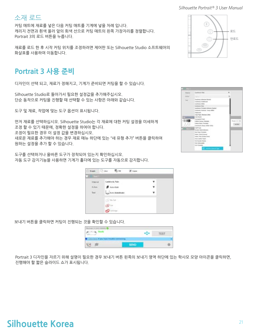#### 소재 로드

커팅 매트에 재료를 넣은 다음 커팅 매트를 기계에 넣을 차례 입니다. 캐리지 전면과 흰색 올러 앞의 회색 선으로 커팅 매트의 왼쪽 가장자리를 정렬합니다. and the white rollers. Click the Load button on the Portrait 3. The white rollers will grip Portrait 3의 로드 버튼을 누릅니다.

재료를 로드 한 후 시작 커팅 위치를 조정하려면 제어판 또는 Silhouette Studio 소프트웨어의<br>기사도로 US 같은 ASE 같습니다 화살표를 사용하여 이동합니다.

## **Cut a Design Portrait 3 사용 준비**

디자인이 선택 되고, 재료가 정해지고, 기계가 준비되면 커팅을 할 수 있습니다.

Silhouette Studio로 돌아가서 필요한 설정값을 추가해주십시오.<br>되스 도립으로 같다요 강행할 때 사망할 수 있는 사항으 양맹인권 상사되 단순 동작으로 커팅을 진행할 때 선택할 수 있는 사항은 아래와 같습니다.

.<br>도구 및 재료, 작업에 맞는 도구 옵션이 표시됩니다.

First select your material. It's important to be accurate in your selection because 먼저 재료를 선택하십시오. Silhouette Studio는 각 재료에 대한 커팅 설정을 미세하게 조정 할 수 있기 때문에, 정확한 설정을 하여야 합니다.<br>- 그리고 - 이 이 이 이 시기 때문에 대해 보기 없다.

you need to make adjustments, you change these settings. If you need to add a new 조정이 필요한 경우 이 설정 값을 변경하십시오.

material, you can click the "Add New Material Type" button at the bottom of the 새로운 재료를 추가해야 하는 경우 재료 매뉴 하단에 있는 "새 유형 추가" 버튼을 클릭하여 원하는 설정을 추가 할 수 있습니다.

도구를 선택하거나 올바른 도구가 장착되어 있는지 확인하십시오. 자동 도구 감지기능을 사용하면 기계가 홀더에 있는 도구를 자동으로 감지합니다.

| O fingle          | District Market  |                  | F. Layer |    |
|-------------------|------------------|------------------|----------|----|
| <b>DI ME</b><br>o |                  |                  |          |    |
| Informed          |                  | Cardstock, Plain |          |    |
| Liken:            |                  | $9$ Ancien       |          | ¥. |
| Tool              |                  | La mana          |          | ۷  |
|                   |                  | $-24.66$         |          |    |
|                   | <b>CO</b> factor |                  |          |    |
|                   |                  | ூண்ட             |          |    |

보내기 버튼을 클릭하면 커팅이 진행되는 것을 확인할 수 있습니다.

| WITH 3 DAY DAMA                                          |             | 11:51<br><b>CONTRACTOR</b> |
|----------------------------------------------------------|-------------|----------------------------|
| <b>CALL A</b><br>eu have troutie co<br><b>STATISTICS</b> |             |                            |
|                                                          | <b>SEND</b> |                            |

Portrait 3 디자인을 자르기 위해 설명이 필요한 경우 보내기 버튼 왼쪽의 보내기 영역 하단에 있는 학사모 모양 아이콘을 클릭하면, 진행해야 할 짧은 슬라이드 쇼가 표시됩니다.

|  | 로드  |
|--|-----|
|  | 언로드 |
|  |     |

| <b>Side of</b>    | Gebrank Plan                                                                                                              |        |
|-------------------|---------------------------------------------------------------------------------------------------------------------------|--------|
| <b>Allen</b>      | <b>CONTRACTOR</b>                                                                                                         |        |
| Charles C         | <b><i>Packling Affordar Builds</i></b><br>Lammid Chalcoad<br>Carlotteric Giffine<br>Carlotteria Highs                     |        |
|                   | Lydaius Holyto Adopte Buled<br>Lashbook Holland Pacer Wilds<br>TRAFFICAT                                                  |        |
| <b>Carl Corp.</b> | Losa Papiri, Monicano (Mile)<br><b>Cardy Shering Co.</b><br>Laure Company In<br><b>Fisher Carlus, Frences</b>             |        |
| W<br><b>PE 27</b> | Landstock Steels (1914) 10302<br><b>Galtima</b>                                                                           |        |
|                   | <b>Brieden States and All</b><br>Start Start Procedure<br>Federal Frank & Armedi<br>Fusions, Fritar all colonial frotests |        |
|                   | tion justice trade<br><b>Not begin that's</b><br>Audi Environment                                                         |        |
|                   | <b>Inc. Foreign</b>                                                                                                       | O<br>ï |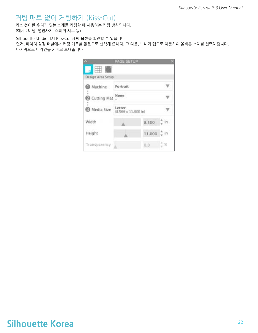#### 커팅 매트 없이 커팅하기 (Kiss-Cut)

키스 컷이란 후지가 있는 소재를 커팅할 때 사용하는 커팅 방식입니다. (예시 : 비닐, 열전사지, 스티커 시트 등)

Silhouette Studio에서 Kiss-Cut 세팅 옵션을 확인할 수 있습니다. 먼저, 페이지 설정 패널에서 커팅 매트를 없음으로 선택해 줍니다. 그 다음, 보내기 탭으로 이동하여 올바른 소재를 선택해줍니다. 마지막으로 디자인을 기계로 보내줍니다.

|                         | PAGE SETUP                    |        |        |
|-------------------------|-------------------------------|--------|--------|
| ₩.<br>Design Area Setup |                               |        |        |
| Machine                 | Portrait                      |        |        |
| Cutting Mat             | None                          |        |        |
| Media Size              | Letter<br>(8.500 x 11.000 in) |        |        |
| Width                   |                               | 8.500  | ⊡ in : |
| Height                  |                               | 11.000 |        |
| Transparency            |                               | 0.0    |        |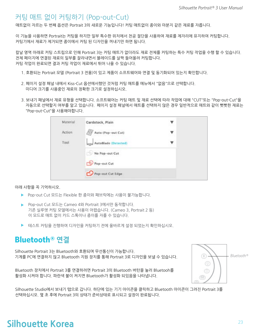#### 커팅 매트 없이 커팅하기 (Pop-out-Cut)

매트없이 자르는 두 번째 옵션은 Portrait 3의 새로운 기능입니다! 커팅 매트없이 종이와 마분지 같은 재료를 자릅니다.

이 기능을 사용하면 Portrait는 커팅을 하지만 일부 특수한 위치에서 천공 절단을 사용하여 재료를 제자리에 유지하여 커팅합니다. 커팅기에서 재료가 제거되면 종이에서 커팅 된 디자인을 꺼내기만 하면 됩니다.

Because of a channel that runs under the blade area, the Portrait 3 can preform a special cutting action, which cuts a<br>Special cutting a special cutting action, which cuts action, which cuts all the cuts action, which cuts 칼날 영역 아래로 커팅 스트립으로 인해 Portrait 3는 커팅 매트가 없더라도 재료 전체를 커팅하는 특수 커팅 작업을 수행 할 수 있습니다.<br>같은 페인권에 영경되겠군인 있는 공간법명 및 법과 이도를 사과 도입으려 같다합니다. 전체 페이지에 연결된 재료의 일부를 잘라내면서 블레이드를 살짝 들어올려 커팅합니다.<br>기팅 간업인 인글디며 견과 기팅 간업인 갤클앤션 팀인 ULS 소 인슈니디 커팅 작업이 완료되면 결과 커팅 작업이 재료에서 튀어 나올 수 있습니다.

- 1. 호환되는 Portrait 모델 (Portrait 3 전용)이 있고 제품이 소프트웨어와 연결 및 동기화되어 있는지 확인합니다.
- 2. 페이지 설정 패널 내에서 Kiss-Cut 옵션에서했던 것처럼 커팅 매트를 메뉴에서 "없음"으로 선택합니다. 미디어 크기를 사용중인 재료의 정확한 크기로 설정하십시오.
- 3. Within the Send panel, select your material type. The software knows whether to automatically choose "Cut" or 3. 보내기 패널에서 재료 유형을 선택합니다. 소프트웨어는 커팅 매트 및 재료 선택에 따라 작업에 대해 "CUT"또는 "Pop-out-Cut"을<br>- 기도요코 시대학과 정보를 안공 있습니다. 팬인권 설립 팬니에서 매트를 신대학과 있음 것은 있出같음고 맨도안 같은 뿐만 " 자동으로 선택할지 여부를 알고 있습니다. 페이지 설정 패널에서 매트를 선택하지 않은 경우 일반적으로 매트와 같이 뻣뻣한 재료는 "Pop-out-Cut"을 사용해야합니다.

| Material | Cardstock, Plain     | ▼                |
|----------|----------------------|------------------|
| Action   | Auto (Pop-out Cut)   | ۷                |
| Tool     | AutoBlade (Detected) | <b>KING</b><br>▼ |
|          | No Pop-out Cut       |                  |
|          | Pop-out Cut          |                  |
|          | Pop-out Cut Edge     |                  |

아래 사항을 꼭 기억하시오.

- ▶ Pop-out Cut 모드는 Flexible 한 종이와 패브릭에는 사용이 불가능합니다.
- ▶ Pop-out Cut 모드는 Cameo 4와 Portrait 3에서만 동작합니다. 기존 실루엣 커팅 모델에서는 사용이 어렵습니다. (Cameo 3, Portrait 2 등) 이 모드로 매트 없이 카드 스톡이나 종이를 자를 수 있습니다.
- ▶ 테스트 커팅을 진행하여 디자인을 커팅하기 전에 올바르게 설정 되었는지 확인하십시오.

### $\mathsf{Bluetooth}{}^{ \circledR}$  연결

Silhouette Portrait 3는 Bluetooth와 호환되며 무선통신이 가능합니다. 기계를 PC에 연결하지 않고 Bluetooth 지원 장치를 통해 Portrait 3로 디자인을 보낼 수 있습니다.

Bluetooth 장치에서 Portrait 3를 연결하려면 Portrait 3의 Bluetooth 버턴을 눌러 Bluetooh를 활성화 시켜야 합니다. 파란색 불이 켜지면 Bluetooth가 활성화 되있음을 나타냅니다.



Silhouette Studio에서 보내기 탭으로 갑니다. 하단에 있는 기기 아이콘을 클릭하고 Bluetooth 아이콘이 그려진 Portrait 3를 선택하십시오. 몇 초 후에 Portrait 3의 상태가 준비상태로 표시되고 설정이 완료됩니다.